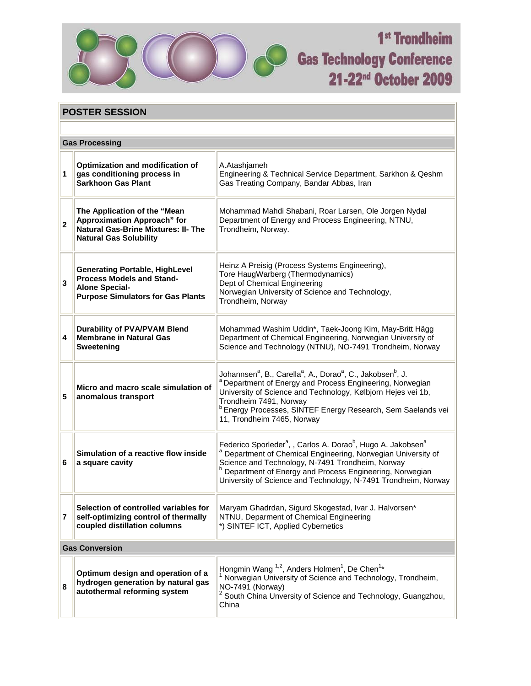

## 1<sup>st</sup> Trondheim **Cas Technology Conference** 21-22<sup>nd</sup> October 2009

| <b>POSTER SESSION</b> |                                                                                                                                                   |                                                                                                                                                                                                                                                                                                                                                                                        |
|-----------------------|---------------------------------------------------------------------------------------------------------------------------------------------------|----------------------------------------------------------------------------------------------------------------------------------------------------------------------------------------------------------------------------------------------------------------------------------------------------------------------------------------------------------------------------------------|
|                       |                                                                                                                                                   |                                                                                                                                                                                                                                                                                                                                                                                        |
| <b>Gas Processing</b> |                                                                                                                                                   |                                                                                                                                                                                                                                                                                                                                                                                        |
| 1                     | Optimization and modification of<br>gas conditioning process in<br><b>Sarkhoon Gas Plant</b>                                                      | A.Atashjameh<br>Engineering & Technical Service Department, Sarkhon & Qeshm<br>Gas Treating Company, Bandar Abbas, Iran                                                                                                                                                                                                                                                                |
| $\overline{2}$        | The Application of the "Mean<br><b>Approximation Approach" for</b><br><b>Natural Gas-Brine Mixtures: II- The</b><br><b>Natural Gas Solubility</b> | Mohammad Mahdi Shabani, Roar Larsen, Ole Jorgen Nydal<br>Department of Energy and Process Engineering, NTNU,<br>Trondheim, Norway.                                                                                                                                                                                                                                                     |
| 3                     | <b>Generating Portable, HighLevel</b><br><b>Process Models and Stand-</b><br><b>Alone Special-</b><br><b>Purpose Simulators for Gas Plants</b>    | Heinz A Preisig (Process Systems Engineering),<br>Tore HaugWarberg (Thermodynamics)<br>Dept of Chemical Engineering<br>Norwegian University of Science and Technology,<br>Trondheim, Norway                                                                                                                                                                                            |
| 4                     | <b>Durability of PVA/PVAM Blend</b><br><b>Membrane in Natural Gas</b><br>Sweetening                                                               | Mohammad Washim Uddin*, Taek-Joong Kim, May-Britt Hägg<br>Department of Chemical Engineering, Norwegian University of<br>Science and Technology (NTNU), NO-7491 Trondheim, Norway                                                                                                                                                                                                      |
| 5                     | Micro and macro scale simulation of<br>anomalous transport                                                                                        | Johannsen <sup>a</sup> , B., Carella <sup>a</sup> , A., Dorao <sup>a</sup> , C., Jakobsen <sup>b</sup> , J.<br><sup>a</sup> Department of Energy and Process Engineering, Norwegian<br>University of Science and Technology, Kølbjorn Hejes vei 1b,<br>Trondheim 7491, Norway<br><sup>b</sup> Energy Processes, SINTEF Energy Research, Sem Saelands vei<br>11, Trondheim 7465, Norway |
| 6                     | Simulation of a reactive flow inside<br>a square cavity                                                                                           | Federico Sporleder <sup>a</sup> , , Carlos A. Dorao <sup>b</sup> , Hugo A. Jakobsen <sup>a</sup><br><sup>a</sup> Department of Chemical Engineering, Norwegian University of<br>Science and Technology, N-7491 Trondheim, Norway<br>Department of Energy and Process Engineering, Norwegian<br>University of Science and Technology, N-7491 Trondheim, Norway                          |
| 7                     | Selection of controlled variables for<br>self-optimizing control of thermally<br>coupled distillation columns                                     | Maryam Ghadrdan, Sigurd Skogestad, Ivar J. Halvorsen*<br>NTNU, Deparment of Chemical Engineering<br>*) SINTEF ICT, Applied Cybernetics                                                                                                                                                                                                                                                 |
| <b>Gas Conversion</b> |                                                                                                                                                   |                                                                                                                                                                                                                                                                                                                                                                                        |
| 8                     | Optimum design and operation of a<br>hydrogen generation by natural gas<br>autothermal reforming system                                           | Hongmin Wang <sup>1,2</sup> , Anders Holmen <sup>1</sup> , De Chen <sup>1</sup> *<br><sup>1</sup> Norwegian University of Science and Technology, Trondheim,<br>NO-7491 (Norway)<br>South China Unversity of Science and Technology, Guangzhou,<br>China                                                                                                                               |